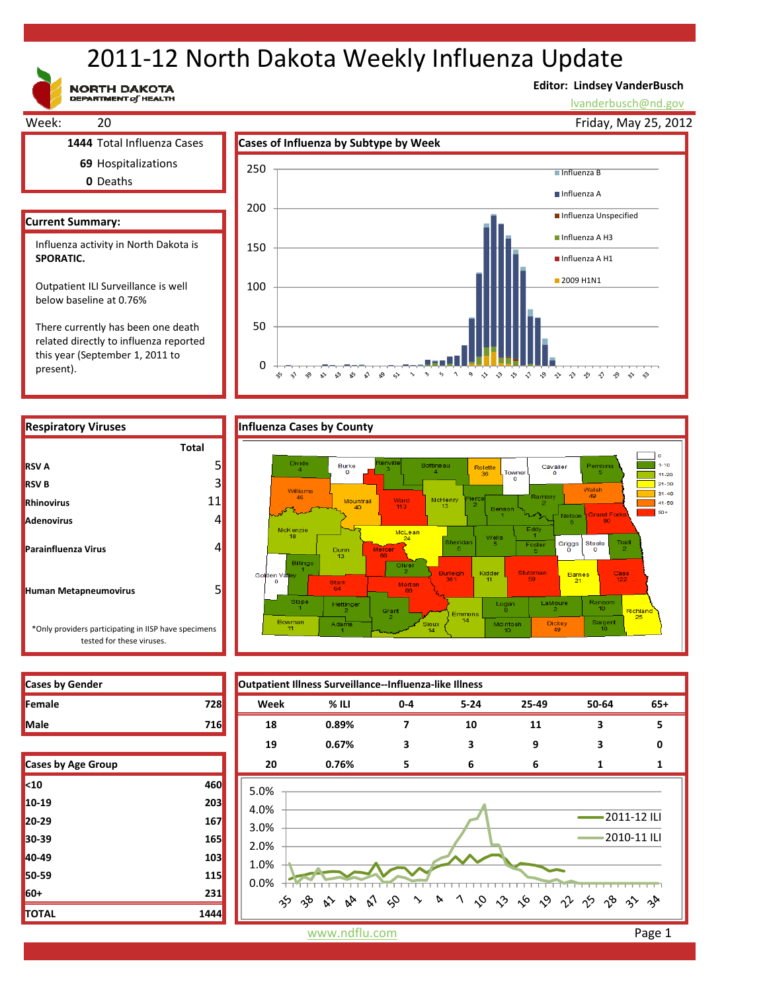# 2011‐12 North Dakota Weekly Influenza Update

NORTH DAKOTA<br>DEPARTMENT of HEALTH

# **Editor: Lindsey VanderBusch**

lvanderbusch@nd.gov



 $\ddot{\sim}$ 

 $\rightsquigarrow$ 

 $\ddot{\phantom{0}}$  $\varsigma_2$ 

 $\mathbf{\hat{\omega}}$ ଚ  $\boldsymbol{\gamma}$ 

っ や や や や や や や や や や や

related directly to influenza reported this year (September 1, 2011 to present).

 $\overline{0}$ 

☆  $\hat{\mathbf{v}}$   $\sim$  $\approx$   $\approx$ ళ



| <b>RESPITATOLY VILUSES</b>                                                        |              |  |
|-----------------------------------------------------------------------------------|--------------|--|
|                                                                                   | <b>Total</b> |  |
| <b>RSV A</b>                                                                      |              |  |
| <b>RSV B</b>                                                                      | 3            |  |
| <b>Rhinovirus</b>                                                                 | 11           |  |
| <b>Adenovirus</b>                                                                 |              |  |
| <b>Parainfluenza Virus</b>                                                        |              |  |
| <b>Human Metapneumovirus</b>                                                      |              |  |
| *Only providers participating in IISP have specimens<br>tested for these viruses. |              |  |

| <b>Cases by Gender</b>    |                               | Outpatient Illness Surveillance--Influenza-like Illness                                                                                                                                                                                                                                                                                                                                                          |         |       |          |       |             |       |  |
|---------------------------|-------------------------------|------------------------------------------------------------------------------------------------------------------------------------------------------------------------------------------------------------------------------------------------------------------------------------------------------------------------------------------------------------------------------------------------------------------|---------|-------|----------|-------|-------------|-------|--|
| Female                    | <b>728</b>                    | Week                                                                                                                                                                                                                                                                                                                                                                                                             | $%$ ILI | $0-4$ | $5 - 24$ | 25-49 | 50-64       | $65+$ |  |
| Male                      | 716                           | 18                                                                                                                                                                                                                                                                                                                                                                                                               | 0.89%   | 7     | 10       | 11    | 3           | 5     |  |
|                           |                               | 19                                                                                                                                                                                                                                                                                                                                                                                                               | 0.67%   | 3     | 3        | 9     | 3           | 0     |  |
| <b>Cases by Age Group</b> |                               | 20                                                                                                                                                                                                                                                                                                                                                                                                               | 0.76%   | 5     | 6        | 6     | 1           | 1     |  |
| <10                       | 460                           | 5.0%                                                                                                                                                                                                                                                                                                                                                                                                             |         |       |          |       |             |       |  |
| 10-19                     | 203                           | 4.0%                                                                                                                                                                                                                                                                                                                                                                                                             |         |       |          |       |             |       |  |
| 20-29                     | 167                           | 3.0%                                                                                                                                                                                                                                                                                                                                                                                                             |         |       |          |       | 2011-12 ILI |       |  |
| 30-39                     | 165                           | 2010-11 ILI<br>2.0%                                                                                                                                                                                                                                                                                                                                                                                              |         |       |          |       |             |       |  |
| 40-49                     | 103                           | 1.0%                                                                                                                                                                                                                                                                                                                                                                                                             |         |       |          |       |             |       |  |
| 50-59                     | <b>115</b>                    | 0.0%                                                                                                                                                                                                                                                                                                                                                                                                             |         |       |          |       |             |       |  |
| 60+                       | 231                           | <b>b</b> 1 $\lozenge$ $\lozenge$ $\lozenge$ $\lozenge$ $\lozenge$ $\lozenge$ $\lozenge$ $\lozenge$ $\lozenge$ $\lozenge$ $\lozenge$ $\lozenge$ $\lozenge$ $\lozenge$ $\lozenge$ $\lozenge$ $\lozenge$ $\lozenge$ $\lozenge$ $\lozenge$ $\lozenge$ $\lozenge$ $\lozenge$ $\lozenge$ $\lozenge$ $\lozenge$ $\lozenge$ $\lozenge$ $\lozenge$ $\lozenge$ $\lozenge$<br>$\%$ $\%$<br>$3^6$ $8^5$ $8^6$<br>≫<br>$\sim$ |         |       |          |       |             |       |  |
| וגדרז                     | 1 <sub>1</sub> 4 <sub>1</sub> |                                                                                                                                                                                                                                                                                                                                                                                                                  |         |       |          |       |             |       |  |

**I**Cases by Gender

| <b>Cases by Age Group</b> |      |
|---------------------------|------|
| $10$                      | 460  |
| 10-19                     | 203  |
| 20-29                     | 167  |
| 30-39                     | 165  |
| 40-49                     | 103  |
| 50-59                     | 115  |
| 60+                       | 231  |
| TOTAL                     | 1444 |

www.ndflu.com Page 1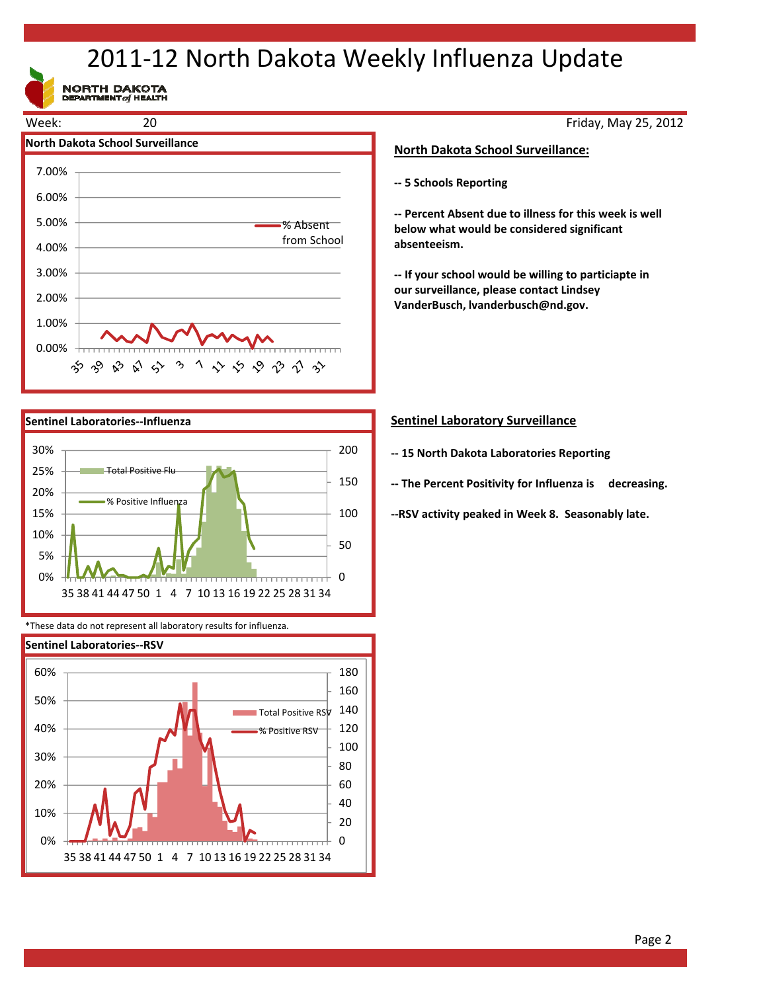# 2011‐12 North Dakota Weekly Influenza Update

NORTH DAKOTA





\*These data do not represent all laboratory results for influenza.



## Friday, May 25, 2012

## **North Dakota School Surveillance:**

**‐‐ 5 Schools Reporting**

**‐‐ Percent Absent due to illness for this week is well below what would be considered significant absenteeism.**

**‐‐ If your school would be willing to particiapte in our surveillance, please contact Lindsey VanderBusch, lvanderbusch@nd.gov.**

## **Sentinel Laboratory Surveillance**

- **‐‐ 15 North Dakota Laboratories Reporting**
- **‐‐ The Percent Positivity for Influenza is decreasing.**

**‐‐RSV activity peaked in Week 8. Seasonably late.**